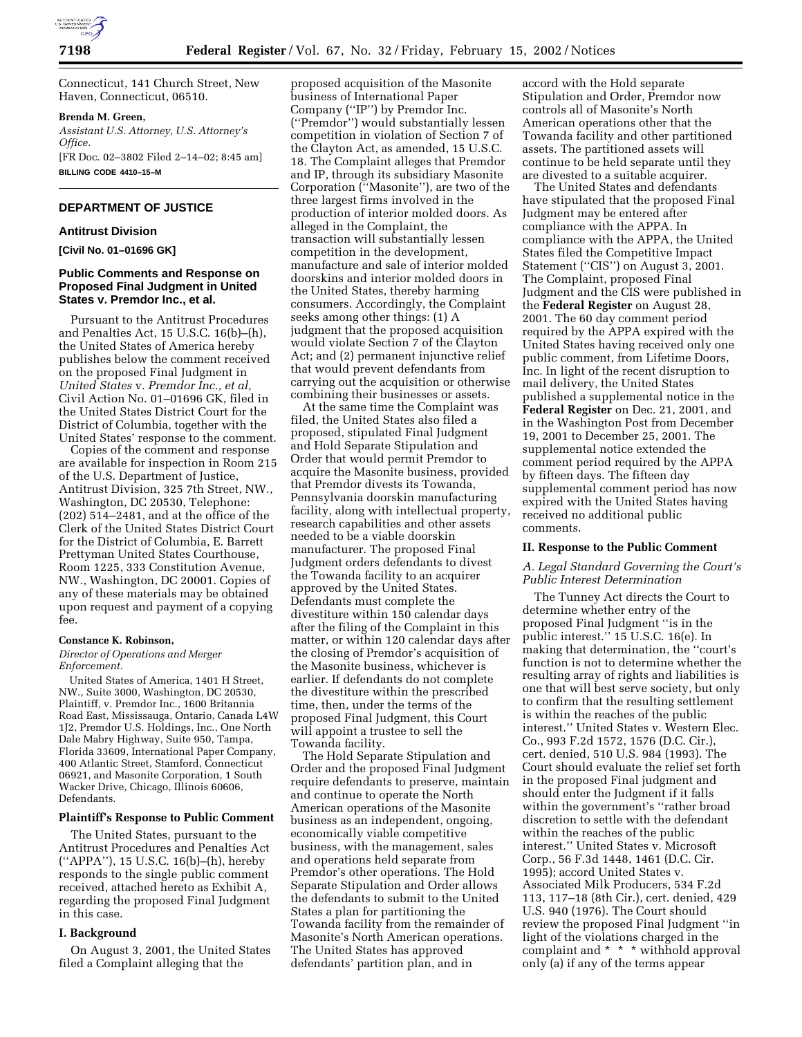

Connecticut, 141 Church Street, New Haven, Connecticut, 06510.

## **Brenda M. Green,**

*Assistant U.S. Attorney, U.S. Attorney's Office.* [FR Doc. 02–3802 Filed 2–14–02; 8:45 am] **BILLING CODE 4410–15–M**

## **DEPARTMENT OF JUSTICE**

### **Antitrust Division**

**[Civil No. 01–01696 GK]**

# **Public Comments and Response on Proposed Final Judgment in United States v. Premdor Inc., et al.**

Pursuant to the Antitrust Procedures and Penalties Act, 15 U.S.C. 16(b)–(h), the United States of America hereby publishes below the comment received on the proposed Final Judgment in *United States* v. *Premdor Inc., et al,* Civil Action No. 01–01696 GK, filed in the United States District Court for the District of Columbia, together with the United States' response to the comment.

Copies of the comment and response are available for inspection in Room 215 of the U.S. Department of Justice, Antitrust Division, 325 7th Street, NW., Washington, DC 20530, Telephone: (202) 514–2481, and at the office of the Clerk of the United States District Court for the District of Columbia, E. Barrett Prettyman United States Courthouse, Room 1225, 333 Constitution Avenue, NW., Washington, DC 20001. Copies of any of these materials may be obtained upon request and payment of a copying fee.

## **Constance K. Robinson,**

#### *Director of Operations and Merger Enforcement.*

United States of America, 1401 H Street, NW., Suite 3000, Washington, DC 20530, Plaintiff, v. Premdor Inc., 1600 Britannia Road East, Mississauga, Ontario, Canada L4W 1J2, Premdor U.S. Holdings, Inc., One North Dale Mabry Highway, Suite 950, Tampa, Florida 33609, International Paper Company, 400 Atlantic Street, Stamford, Connecticut 06921, and Masonite Corporation, 1 South Wacker Drive, Chicago, Illinois 60606, Defendants.

## **Plaintiff's Response to Public Comment**

The United States, pursuant to the Antitrust Procedures and Penalties Act (''APPA''), 15 U.S.C. 16(b)–(h), hereby responds to the single public comment received, attached hereto as Exhibit A, regarding the proposed Final Judgment in this case.

### **I. Background**

On August 3, 2001, the United States filed a Complaint alleging that the

proposed acquisition of the Masonite business of International Paper Company (''IP'') by Premdor Inc. (''Premdor'') would substantially lessen competition in violation of Section 7 of the Clayton Act, as amended, 15 U.S.C. 18. The Complaint alleges that Premdor and IP, through its subsidiary Masonite Corporation (''Masonite''), are two of the three largest firms involved in the production of interior molded doors. As alleged in the Complaint, the transaction will substantially lessen competition in the development, manufacture and sale of interior molded doorskins and interior molded doors in the United States, thereby harming consumers. Accordingly, the Complaint seeks among other things: (1) A judgment that the proposed acquisition would violate Section 7 of the Clayton Act; and (2) permanent injunctive relief that would prevent defendants from carrying out the acquisition or otherwise combining their businesses or assets.

At the same time the Complaint was filed, the United States also filed a proposed, stipulated Final Judgment and Hold Separate Stipulation and Order that would permit Premdor to acquire the Masonite business, provided that Premdor divests its Towanda, Pennsylvania doorskin manufacturing facility, along with intellectual property, research capabilities and other assets needed to be a viable doorskin manufacturer. The proposed Final Judgment orders defendants to divest the Towanda facility to an acquirer approved by the United States. Defendants must complete the divestiture within 150 calendar days after the filing of the Complaint in this matter, or within 120 calendar days after the closing of Premdor's acquisition of the Masonite business, whichever is earlier. If defendants do not complete the divestiture within the prescribed time, then, under the terms of the proposed Final Judgment, this Court will appoint a trustee to sell the Towanda facility.

The Hold Separate Stipulation and Order and the proposed Final Judgment require defendants to preserve, maintain and continue to operate the North American operations of the Masonite business as an independent, ongoing, economically viable competitive business, with the management, sales and operations held separate from Premdor's other operations. The Hold Separate Stipulation and Order allows the defendants to submit to the United States a plan for partitioning the Towanda facility from the remainder of Masonite's North American operations. The United States has approved defendants' partition plan, and in

accord with the Hold separate Stipulation and Order, Premdor now controls all of Masonite's North American operations other that the Towanda facility and other partitioned assets. The partitioned assets will continue to be held separate until they are divested to a suitable acquirer.

The United States and defendants have stipulated that the proposed Final Judgment may be entered after compliance with the APPA. In compliance with the APPA, the United States filed the Competitive Impact Statement ("CIS") on August 3, 2001. The Complaint, proposed Final Judgment and the CIS were published in the **Federal Register** on August 28, 2001. The 60 day comment period required by the APPA expired with the United States having received only one public comment, from Lifetime Doors, Inc. In light of the recent disruption to mail delivery, the United States published a supplemental notice in the **Federal Register** on Dec. 21, 2001, and in the Washington Post from December 19, 2001 to December 25, 2001. The supplemental notice extended the comment period required by the APPA by fifteen days. The fifteen day supplemental comment period has now expired with the United States having received no additional public comments.

### **II. Response to the Public Comment**

## *A. Legal Standard Governing the Court's Public Interest Determination*

The Tunney Act directs the Court to determine whether entry of the proposed Final Judgment ''is in the public interest.'' 15 U.S.C. 16(e). In making that determination, the ''court's function is not to determine whether the resulting array of rights and liabilities is one that will best serve society, but only to confirm that the resulting settlement is within the reaches of the public interest.'' United States v. Western Elec. Co., 993 F.2d 1572, 1576 (D.C. Cir.), cert. denied, 510 U.S. 984 (1993). The Court should evaluate the relief set forth in the proposed Final judgment and should enter the Judgment if it falls within the government's ''rather broad discretion to settle with the defendant within the reaches of the public interest.'' United States v. Microsoft Corp., 56 F.3d 1448, 1461 (D.C. Cir. 1995); accord United States v. Associated Milk Producers, 534 F.2d 113, 117–18 (8th Cir.), cert. denied, 429 U.S. 940 (1976). The Court should review the proposed Final Judgment ''in light of the violations charged in the complaint and \* \* \* withhold approval only (a) if any of the terms appear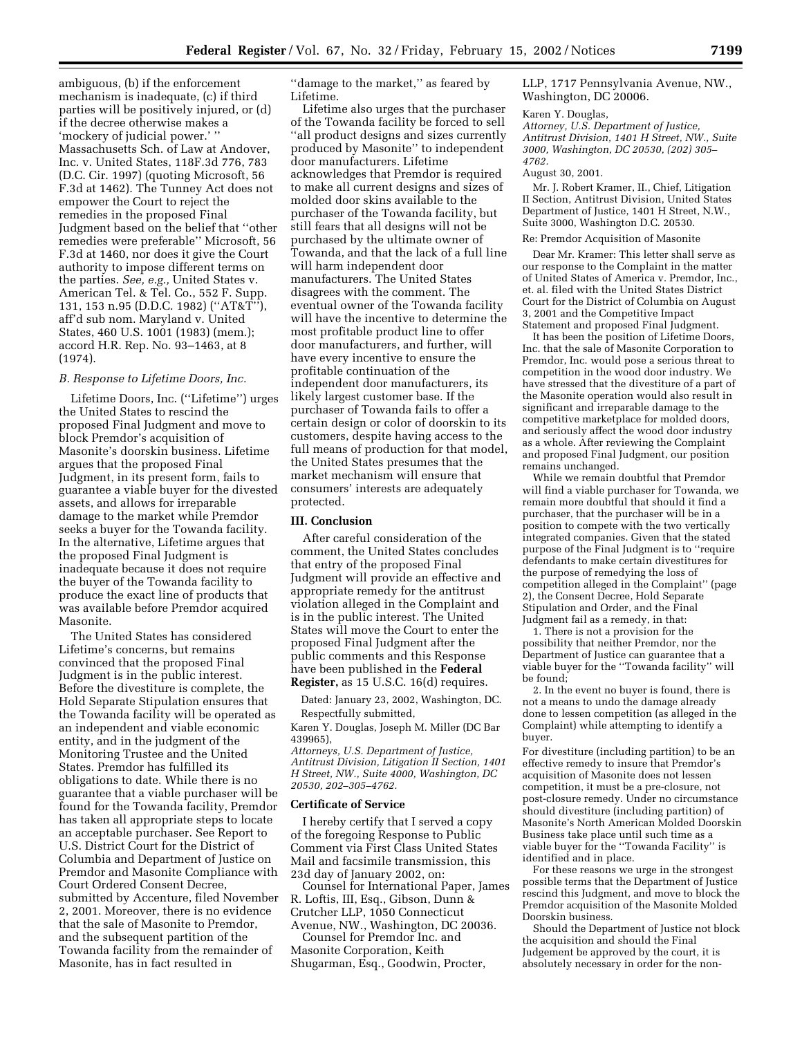ambiguous, (b) if the enforcement mechanism is inadequate, (c) if third parties will be positively injured, or (d) if the decree otherwise makes a 'mockery of judicial power.' '' Massachusetts Sch. of Law at Andover, Inc. v. United States, 118F.3d 776, 783 (D.C. Cir. 1997) (quoting Microsoft, 56 F.3d at 1462). The Tunney Act does not empower the Court to reject the remedies in the proposed Final Judgment based on the belief that ''other remedies were preferable'' Microsoft, 56 F.3d at 1460, nor does it give the Court authority to impose different terms on the parties. *See, e.g.,* United States v. American Tel. & Tel. Co., 552 F. Supp. 131, 153 n.95 (D.D.C. 1982) (''AT&T''), aff'd sub nom. Maryland v. United States, 460 U.S. 1001 (1983) (mem.); accord H.R. Rep. No. 93–1463, at 8 (1974).

#### *B. Response to Lifetime Doors, Inc.*

Lifetime Doors, Inc. (''Lifetime'') urges the United States to rescind the proposed Final Judgment and move to block Premdor's acquisition of Masonite's doorskin business. Lifetime argues that the proposed Final Judgment, in its present form, fails to guarantee a viable buyer for the divested assets, and allows for irreparable damage to the market while Premdor seeks a buyer for the Towanda facility. In the alternative, Lifetime argues that the proposed Final Judgment is inadequate because it does not require the buyer of the Towanda facility to produce the exact line of products that was available before Premdor acquired Masonite.

The United States has considered Lifetime's concerns, but remains convinced that the proposed Final Judgment is in the public interest. Before the divestiture is complete, the Hold Separate Stipulation ensures that the Towanda facility will be operated as an independent and viable economic entity, and in the judgment of the Monitoring Trustee and the United States. Premdor has fulfilled its obligations to date. While there is no guarantee that a viable purchaser will be found for the Towanda facility, Premdor has taken all appropriate steps to locate an acceptable purchaser. See Report to U.S. District Court for the District of Columbia and Department of Justice on Premdor and Masonite Compliance with Court Ordered Consent Decree, submitted by Accenture, filed November 2, 2001. Moreover, there is no evidence that the sale of Masonite to Premdor, and the subsequent partition of the Towanda facility from the remainder of Masonite, has in fact resulted in

''damage to the market,'' as feared by Lifetime.

Lifetime also urges that the purchaser of the Towanda facility be forced to sell ''all product designs and sizes currently produced by Masonite'' to independent door manufacturers. Lifetime acknowledges that Premdor is required to make all current designs and sizes of molded door skins available to the purchaser of the Towanda facility, but still fears that all designs will not be purchased by the ultimate owner of Towanda, and that the lack of a full line will harm independent door manufacturers. The United States disagrees with the comment. The eventual owner of the Towanda facility will have the incentive to determine the most profitable product line to offer door manufacturers, and further, will have every incentive to ensure the profitable continuation of the independent door manufacturers, its likely largest customer base. If the purchaser of Towanda fails to offer a certain design or color of doorskin to its customers, despite having access to the full means of production for that model, the United States presumes that the market mechanism will ensure that consumers' interests are adequately protected.

### **III. Conclusion**

After careful consideration of the comment, the United States concludes that entry of the proposed Final Judgment will provide an effective and appropriate remedy for the antitrust violation alleged in the Complaint and is in the public interest. The United States will move the Court to enter the proposed Final Judgment after the public comments and this Response have been published in the **Federal Register,** as 15 U.S.C. 16(d) requires.

Dated: January 23, 2002, Washington, DC. Respectfully submitted,

Karen Y. Douglas, Joseph M. Miller (DC Bar 439965),

*Attorneys, U.S. Department of Justice, Antitrust Division, Litigation II Section, 1401 H Street, NW., Suite 4000, Washington, DC 20530, 202–305–4762.*

#### **Certificate of Service**

I hereby certify that I served a copy of the foregoing Response to Public Comment via First Class United States Mail and facsimile transmission, this 23d day of January 2002, on:

Counsel for International Paper, James R. Loftis, III, Esq., Gibson, Dunn & Crutcher LLP, 1050 Connecticut Avenue, NW., Washington, DC 20036.

Counsel for Premdor Inc. and Masonite Corporation, Keith Shugarman, Esq., Goodwin, Procter, LLP, 1717 Pennsylvania Avenue, NW., Washington, DC 20006.

#### Karen Y. Douglas,

*Attorney, U.S. Department of Justice, Antitrust Division, 1401 H Street, NW., Suite 3000, Washington, DC 20530, (202) 305– 4762.*

#### August 30, 2001.

Mr. J. Robert Kramer, II., Chief, Litigation II Section, Antitrust Division, United States Department of Justice, 1401 H Street, N.W., Suite 3000, Washington D.C. 20530.

#### Re: Premdor Acquisition of Masonite

Dear Mr. Kramer: This letter shall serve as our response to the Complaint in the matter of United States of America v. Premdor, Inc., et. al. filed with the United States District Court for the District of Columbia on August 3, 2001 and the Competitive Impact Statement and proposed Final Judgment.

It has been the position of Lifetime Doors, Inc. that the sale of Masonite Corporation to Premdor, Inc. would pose a serious threat to competition in the wood door industry. We have stressed that the divestiture of a part of the Masonite operation would also result in significant and irreparable damage to the competitive marketplace for molded doors, and seriously affect the wood door industry as a whole. After reviewing the Complaint and proposed Final Judgment, our position remains unchanged.

While we remain doubtful that Premdor will find a viable purchaser for Towanda, we remain more doubtful that should it find a purchaser, that the purchaser will be in a position to compete with the two vertically integrated companies. Given that the stated purpose of the Final Judgment is to ''require defendants to make certain divestitures for the purpose of remedying the loss of competition alleged in the Complaint'' (page 2), the Consent Decree, Hold Separate Stipulation and Order, and the Final Judgment fail as a remedy, in that:

1. There is not a provision for the possibility that neither Premdor, nor the Department of Justice can guarantee that a viable buyer for the ''Towanda facility'' will be found;

2. In the event no buyer is found, there is not a means to undo the damage already done to lessen competition (as alleged in the Complaint) while attempting to identify a buyer.

For divestiture (including partition) to be an effective remedy to insure that Premdor's acquisition of Masonite does not lessen competition, it must be a pre-closure, not post-closure remedy. Under no circumstance should divestiture (including partition) of Masonite's North American Molded Doorskin Business take place until such time as a viable buyer for the ''Towanda Facility'' is identified and in place.

For these reasons we urge in the strongest possible terms that the Department of Justice rescind this Judgment, and move to block the Premdor acquisition of the Masonite Molded Doorskin business.

Should the Department of Justice not block the acquisition and should the Final Judgement be approved by the court, it is absolutely necessary in order for the non-